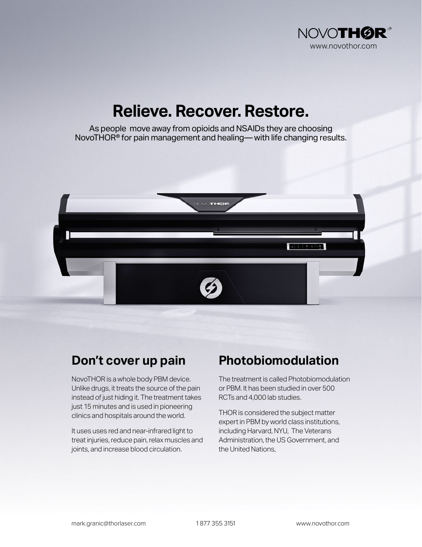

## **Relieve. Recover. Restore.**

As people move away from opioids and NSAIDs they are choosing NovoTHOR® for pain management and healing— with life changing results.



NovoTHOR is a whole body PBM device. Unlike drugs, it treats the source of the pain instead of just hiding it. The treatment takes just 15 minutes and is used in pioneering clinics and hospitals around the world.

It uses uses red and near-infrared light to treat injuries, reduce pain, relax muscles and joints, and increase blood circulation.

## **Don't cover up pain Photobiomodulation**

The treatment is called Photobiomodulation or PBM. It has been studied in over 500 RCTs and 4,000 lab studies.

THOR is considered the subject matter expert in PBM by world class institutions, including Harvard, NYU, The Veterans Administration, the US Government, and the United Nations,